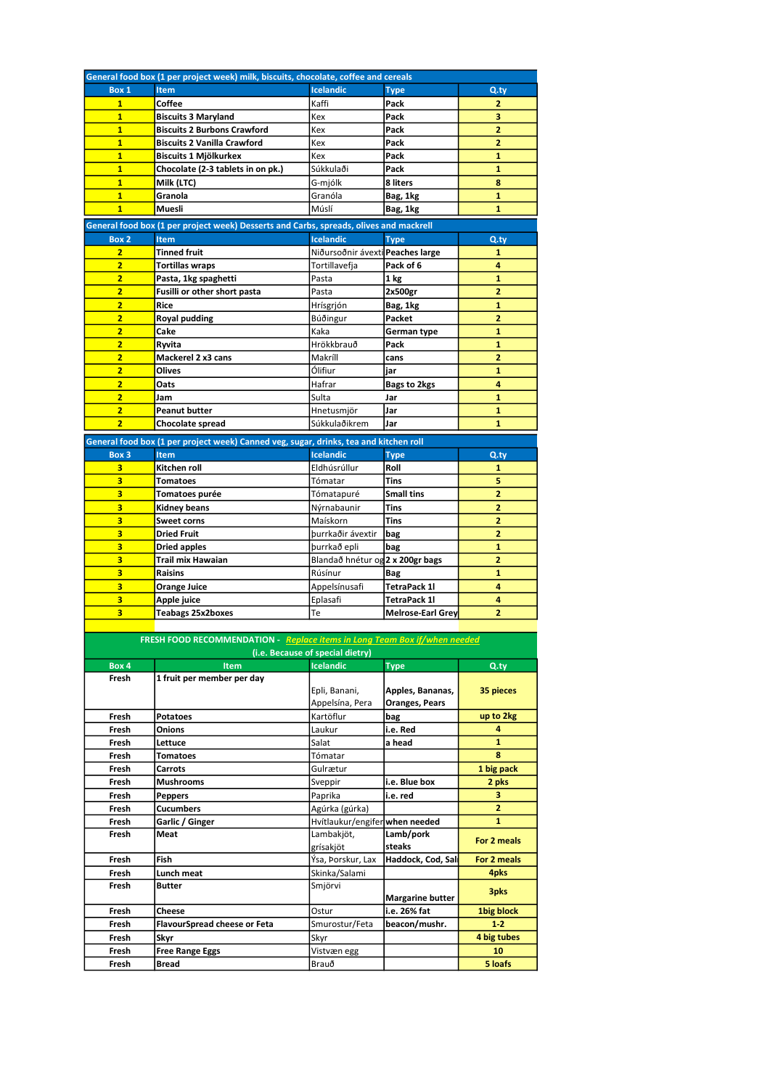| Box 1                                                                     | General food box (1 per project week) milk, biscuits, chocolate, coffee and cereals    |                                             |                          |                     |  |
|---------------------------------------------------------------------------|----------------------------------------------------------------------------------------|---------------------------------------------|--------------------------|---------------------|--|
|                                                                           | <b>Item</b>                                                                            | <b>Icelandic</b>                            | <b>Type</b>              | $Q_{\text{.ty}}$    |  |
| $\mathbf{1}$                                                              | Coffee                                                                                 | Kaffi                                       | Pack                     | $\overline{2}$      |  |
| $\overline{1}$                                                            | <b>Biscuits 3 Maryland</b>                                                             | Kex                                         | Pack                     | 3                   |  |
| $\overline{1}$                                                            | <b>Biscuits 2 Burbons Crawford</b>                                                     | Kex                                         | Pack                     | 2                   |  |
| $\mathbf{1}$                                                              | <b>Biscuits 2 Vanilla Crawford</b>                                                     | Kex                                         | Pack                     | 2                   |  |
| $\overline{1}$                                                            | Biscuits 1 Mjölkurkex                                                                  | Kex                                         | Pack                     | $\mathbf{1}$        |  |
| $\overline{1}$                                                            | Chocolate (2-3 tablets in on pk.)                                                      | Súkkulaði                                   | Pack                     | $\mathbf{1}$        |  |
| $\mathbf{1}$                                                              | Milk (LTC)                                                                             | G-mjólk                                     | 8 liters                 | 8                   |  |
| $\overline{1}$                                                            | Granola                                                                                | Granóla                                     | Bag, 1kg                 | $\mathbf{1}$        |  |
| $\overline{1}$                                                            | Muesli                                                                                 | Múslí                                       | Bag, 1kg                 | $\mathbf{1}$        |  |
|                                                                           | General food box (1 per project week) Desserts and Carbs, spreads, olives and mackrell |                                             |                          |                     |  |
|                                                                           | <b>Item</b>                                                                            | <b>Icelandic</b>                            | <b>Type</b>              |                     |  |
| Box 2                                                                     |                                                                                        |                                             |                          | $Q_{\text{.ty}}$    |  |
| $\overline{2}$<br>$\overline{2}$                                          | <b>Tinned fruit</b>                                                                    | Niðursoðnir ávexti Peaches large            |                          | $\mathbf{1}$        |  |
| $\overline{2}$                                                            | <b>Tortillas wraps</b>                                                                 | Tortillavefja                               | Pack of 6                | 4                   |  |
|                                                                           | Pasta, 1kg spaghetti                                                                   | Pasta                                       | 1 kg                     | $\mathbf{1}$        |  |
| $\overline{2}$                                                            | Fusilli or other short pasta                                                           | Pasta                                       | 2x500gr                  | 2                   |  |
| $\overline{2}$                                                            | Rice                                                                                   | Hrísgrjón                                   | Bag, 1kg                 | $\mathbf{1}$        |  |
| $\overline{2}$                                                            | Royal pudding                                                                          | Búðingur                                    | Packet                   | $\overline{2}$      |  |
| $\overline{2}$                                                            | Cake                                                                                   | Kaka                                        | German type              | $\mathbf{1}$        |  |
| $\overline{2}$                                                            | Ryvita                                                                                 | Hrökkbrauð                                  | Pack                     | $\mathbf{1}$        |  |
| $\overline{2}$                                                            | Mackerel 2 x3 cans                                                                     | Makríll                                     | cans                     | $\overline{2}$      |  |
| $\overline{2}$                                                            | <b>Olives</b>                                                                          | Ólifiur                                     | jar                      | $\mathbf{1}$        |  |
| $\overline{2}$                                                            | Oats                                                                                   | Hafrar                                      | Bags to 2kgs             | 4                   |  |
| $\overline{2}$                                                            | Jam                                                                                    | Sulta                                       | Jar                      | $\mathbf{1}$        |  |
| $\overline{2}$                                                            | <b>Peanut butter</b>                                                                   | Hnetusmjör                                  | Jar                      | $\mathbf{1}$        |  |
| $\overline{2}$                                                            | <b>Chocolate spread</b>                                                                | Súkkulaðikrem                               | Jar                      | $\mathbf{1}$        |  |
|                                                                           | General food box (1 per project week) Canned veg, sugar, drinks, tea and kitchen roll  |                                             |                          |                     |  |
| Box 3                                                                     | <b>Item</b>                                                                            | <b>Icelandic</b>                            | <b>Type</b>              | $Q_{\text{.ty}}$    |  |
| 3                                                                         | Kitchen roll                                                                           | Eldhúsrúllur                                | Roll                     | 1                   |  |
| 3                                                                         | <b>Tomatoes</b>                                                                        | Tómatar                                     | <b>Tins</b>              | 5                   |  |
| 3                                                                         | Tomatoes purée                                                                         | Tómatapuré                                  | <b>Small tins</b>        | $\overline{2}$      |  |
| 3                                                                         | Kidney beans                                                                           | Nýrnabaunir                                 | Tins                     | 2                   |  |
| 3                                                                         | <b>Sweet corns</b>                                                                     | Maískorn                                    | <b>Tins</b>              | $\overline{2}$      |  |
| 3                                                                         | Dried Fruit                                                                            | þurrkaðir ávextir                           | bag                      | $\overline{2}$      |  |
| 3                                                                         |                                                                                        | þurrkað epli                                |                          | 1                   |  |
| 3                                                                         | Dried apples<br>Trail mix Hawaian                                                      |                                             | bag                      | $\overline{2}$      |  |
| 3                                                                         | Raisins                                                                                | Blandað hnétur og 2 x 200gr bags<br>Rúsínur |                          | $\mathbf{1}$        |  |
| 3                                                                         |                                                                                        |                                             | Bag                      | 4                   |  |
|                                                                           | <b>Orange Juice</b>                                                                    | Appelsínusafi                               | TetraPack 1l             |                     |  |
| 3<br>3                                                                    | Apple juice                                                                            | Eplasafi                                    | <b>TetraPack 1l</b>      | 4<br>$\overline{2}$ |  |
|                                                                           | Teabags 25x2boxes                                                                      | Te                                          | <b>Melrose-Earl Grey</b> |                     |  |
| FRESH FOOD RECOMMENDATION - Replace items in Long Team Box if/when needed |                                                                                        |                                             |                          |                     |  |
|                                                                           |                                                                                        |                                             |                          |                     |  |
|                                                                           |                                                                                        | (i.e. Because of special dietry)            |                          |                     |  |
| Box 4                                                                     | <b>Item</b>                                                                            | Icelandic                                   |                          |                     |  |
| Fresh                                                                     |                                                                                        |                                             | <b>Type</b>              | Q.ty                |  |
|                                                                           | 1 fruit per member per day                                                             |                                             |                          |                     |  |
|                                                                           |                                                                                        | Epli, Banani,                               | Apples, Bananas,         | 35 pieces           |  |
|                                                                           |                                                                                        | Appelsína, Pera                             | <b>Oranges, Pears</b>    |                     |  |
| Fresh                                                                     | Potatoes                                                                               | Kartöflur                                   | bag                      | up to 2kg           |  |
| Fresh                                                                     | Onions                                                                                 | Laukur                                      | i.e. Red                 | 4                   |  |
| Fresh                                                                     | Lettuce                                                                                | Salat                                       | a head                   | $\mathbf{1}$        |  |
| Fresh                                                                     | Tomatoes                                                                               | Tómatar                                     |                          | 8                   |  |
| Fresh                                                                     | Carrots                                                                                | Gulrætur                                    |                          | 1 big pack          |  |
| Fresh                                                                     | <b>Mushrooms</b>                                                                       | Sveppir                                     | i.e. Blue box            | 2 pks               |  |
| Fresh                                                                     | <b>Peppers</b>                                                                         | Paprika                                     | i.e. red                 | з                   |  |
| Fresh                                                                     | Cucumbers                                                                              | Agúrka (gúrka)                              |                          | 2                   |  |
| Fresh                                                                     | Garlic / Ginger                                                                        | Hvítlaukur/engifer when needed              |                          | 1                   |  |
| Fresh                                                                     | Meat                                                                                   | Lambakjöt,                                  | Lamb/pork                | For 2 meals         |  |
|                                                                           |                                                                                        | grísakjöt                                   | steaks                   |                     |  |
| Fresh                                                                     | Fish                                                                                   | Ýsa, Þorskur, Lax                           | Haddock, Cod, Sal        | For 2 meals         |  |
| Fresh                                                                     | Lunch meat                                                                             | Skinka/Salami                               |                          | 4pks                |  |
| Fresh                                                                     | Butter                                                                                 | Smjörvi                                     |                          | 3pks                |  |
|                                                                           |                                                                                        |                                             | <b>Margarine butter</b>  |                     |  |
| Fresh                                                                     | Cheese                                                                                 | Ostur                                       | i.e. 26% fat             | 1big block          |  |
| Fresh                                                                     | <b>FlavourSpread cheese or Feta</b>                                                    | Smurostur/Feta                              | beacon/mushr.            | $1 - 2$             |  |
| Fresh                                                                     | Skyr                                                                                   | Skyr                                        |                          | 4 big tubes         |  |
| Fresh<br>Fresh                                                            | <b>Free Range Eggs</b><br>Bread                                                        | Vistvæn egg<br>Brauð                        |                          | 10<br>5 loafs       |  |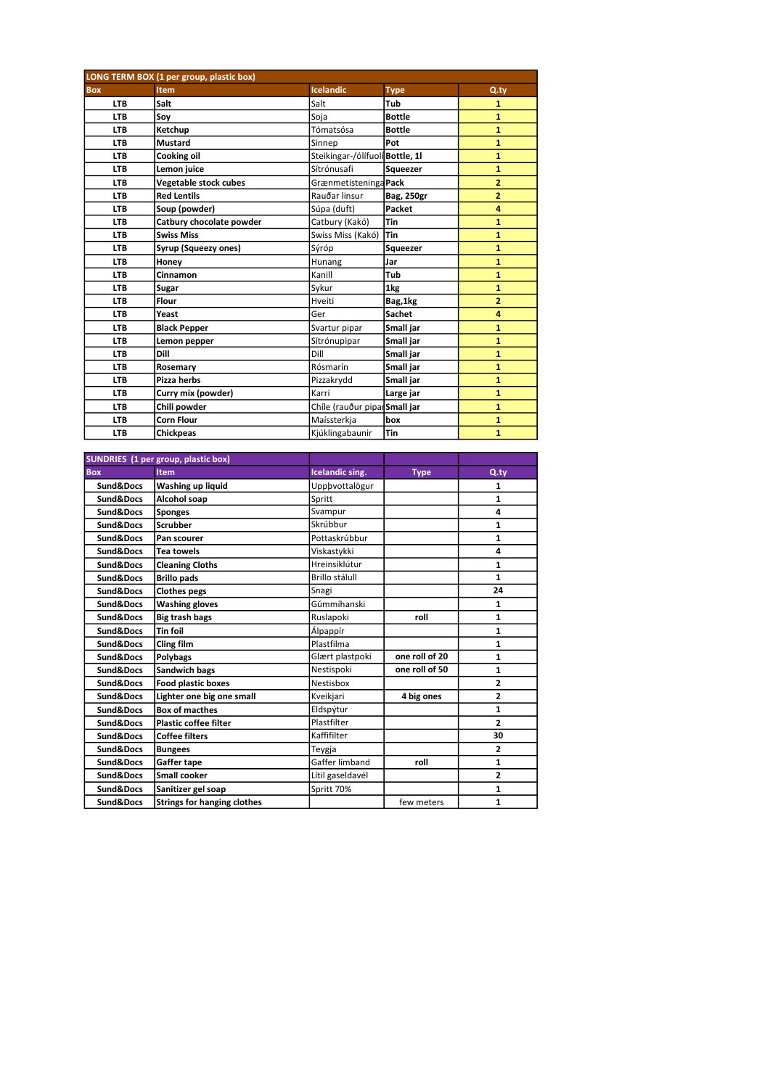| LONG TERM BOX (1 per group, plastic box) |                          |                                 |                   |                |
|------------------------------------------|--------------------------|---------------------------------|-------------------|----------------|
| <b>Box</b>                               | Item                     | Icelandic                       | <b>Type</b>       | $Q_{\cdot}$ ty |
| <b>LTB</b>                               | Salt                     | Salt                            | Tub               | $\mathbf{1}$   |
| <b>LTB</b>                               | Sov                      | Soja                            | <b>Bottle</b>     | $\mathbf{1}$   |
| <b>LTB</b>                               | Ketchup                  | Tómatsósa                       | <b>Bottle</b>     | $\mathbf{1}$   |
| <b>LTB</b>                               | Mustard                  | Sinnep                          | Pot               | 1              |
| <b>LTB</b>                               | Cooking oil              | Steikingar-/ólífuolí Bottle, 11 |                   | $\mathbf{1}$   |
| <b>LTB</b>                               | Lemon juice              | Sítrónusafi                     | Squeezer          | $\mathbf{1}$   |
| <b>LTB</b>                               | Vegetable stock cubes    | Grænmetisteninga Pack           |                   | $\overline{2}$ |
| <b>LTB</b>                               | <b>Red Lentils</b>       | Rauðar linsur                   | <b>Bag, 250gr</b> | $\overline{a}$ |
| <b>LTB</b>                               | Soup (powder)            | Súpa (duft)                     | Packet            | 4              |
| <b>LTB</b>                               | Catbury chocolate powder | Catbury (Kakó)                  | Tin               | $\mathbf{1}$   |
| <b>LTB</b>                               | <b>Swiss Miss</b>        | Swiss Miss (Kakó)               | <b>Tin</b>        | $\mathbf{1}$   |
| <b>LTB</b>                               | Syrup (Squeezy ones)     | Sýróp                           | Squeezer          | $\mathbf{1}$   |
| <b>LTB</b>                               | Honey                    | Hunang                          | Jar               | $\mathbf{1}$   |
| <b>LTB</b>                               | Cinnamon                 | Kanill                          | Tub               | $\mathbf{1}$   |
| <b>LTB</b>                               | Sugar                    | Sykur                           | 1kg               | $\mathbf{1}$   |
| <b>LTB</b>                               | Flour                    | Hveiti                          | Bag, 1kg          | $\overline{2}$ |
| <b>LTB</b>                               | Yeast                    | Ger                             | <b>Sachet</b>     | 4              |
| <b>LTB</b>                               | <b>Black Pepper</b>      | Svartur pipar                   | Small jar         | $\mathbf{1}$   |
| <b>LTB</b>                               | Lemon pepper             | Sítrónupipar                    | Small jar         | $\mathbf{1}$   |
| <b>LTB</b>                               | Dill                     | Dill                            | Small jar         | $\mathbf{1}$   |
| <b>LTB</b>                               | Rosemary                 | Rósmarín                        | Small jar         | $\mathbf{1}$   |
| <b>LTB</b>                               | Pizza herbs              | Pizzakrydd                      | Small jar         | $\mathbf{1}$   |
| <b>LTB</b>                               | Curry mix (powder)       | Karrí                           | Large jar         | 1              |
| <b>LTB</b>                               | Chili powder             | Chíle (rauður piparSmall jar    |                   | $\mathbf{1}$   |
| <b>LTB</b>                               | <b>Corn Flour</b>        | Maíssterkja                     | box               | $\mathbf{1}$   |
| <b>LTB</b>                               | <b>Chickpeas</b>         | Kjúklingabaunir                 | <b>Tin</b>        | $\mathbf{1}$   |

|            | SUNDRIES (1 per group, plastic box) |                  |                |                |
|------------|-------------------------------------|------------------|----------------|----------------|
| <b>Box</b> | <b>Item</b>                         | Icelandic sing.  | <b>Type</b>    | Q.tv           |
| Sund&Docs  | Washing up liquid                   | Uppbvottalögur   |                | 1              |
| Sund&Docs  | Alcohol soap                        | Spritt           |                | 1              |
| Sund&Docs  | <b>Sponges</b>                      | Svampur          |                | 4              |
| Sund&Docs  | <b>Scrubber</b>                     | Skrúbbur         |                | $\mathbf{1}$   |
| Sund&Docs  | Pan scourer                         | Pottaskrúbbur    |                | 1              |
| Sund&Docs  | <b>Tea towels</b>                   | Viskastykki      |                | 4              |
| Sund&Docs  | <b>Cleaning Cloths</b>              | Hreinsiklútur    |                | 1              |
| Sund&Docs  | <b>Brillo pads</b>                  | Brillo stálull   |                | $\mathbf{1}$   |
| Sund&Docs  | <b>Clothes pegs</b>                 | Snagi            |                | 24             |
| Sund&Docs  | <b>Washing gloves</b>               | Gúmmíhanski      |                | 1              |
| Sund&Docs  | <b>Big trash bags</b>               | Ruslapoki        | roll           | $\mathbf{1}$   |
| Sund&Docs  | <b>Tin foil</b>                     | Álpappír         |                | 1              |
| Sund&Docs  | Cling film                          | Plastfilma       |                | 1              |
| Sund&Docs  | <b>Polybags</b>                     | Glært plastpoki  | one roll of 20 | 1              |
| Sund&Docs  | <b>Sandwich bags</b>                | Nestispoki       | one roll of 50 | 1              |
| Sund&Docs  | <b>Food plastic boxes</b>           | Nestisbox        |                | $\overline{2}$ |
| Sund&Docs  | Lighter one big one small           | Kveikjari        | 4 big ones     | $\overline{2}$ |
| Sund&Docs  | <b>Box of macthes</b>               | Eldspýtur        |                | 1              |
| Sund&Docs  | <b>Plastic coffee filter</b>        | Plastfilter      |                | $\overline{2}$ |
| Sund&Docs  | <b>Coffee filters</b>               | Kaffifilter      |                | 30             |
| Sund&Docs  | <b>Bungees</b>                      | Teygja           |                | $\overline{2}$ |
| Sund&Docs  | Gaffer tape                         | Gaffer límband   | roll           | 1              |
| Sund&Docs  | Small cooker                        | Lítil gaseldavél |                | 2              |
| Sund&Docs  | Sanitizer gel soap                  | Spritt 70%       |                | 1              |
| Sund&Docs  | <b>Strings for hanging clothes</b>  |                  | few meters     | $\mathbf{1}$   |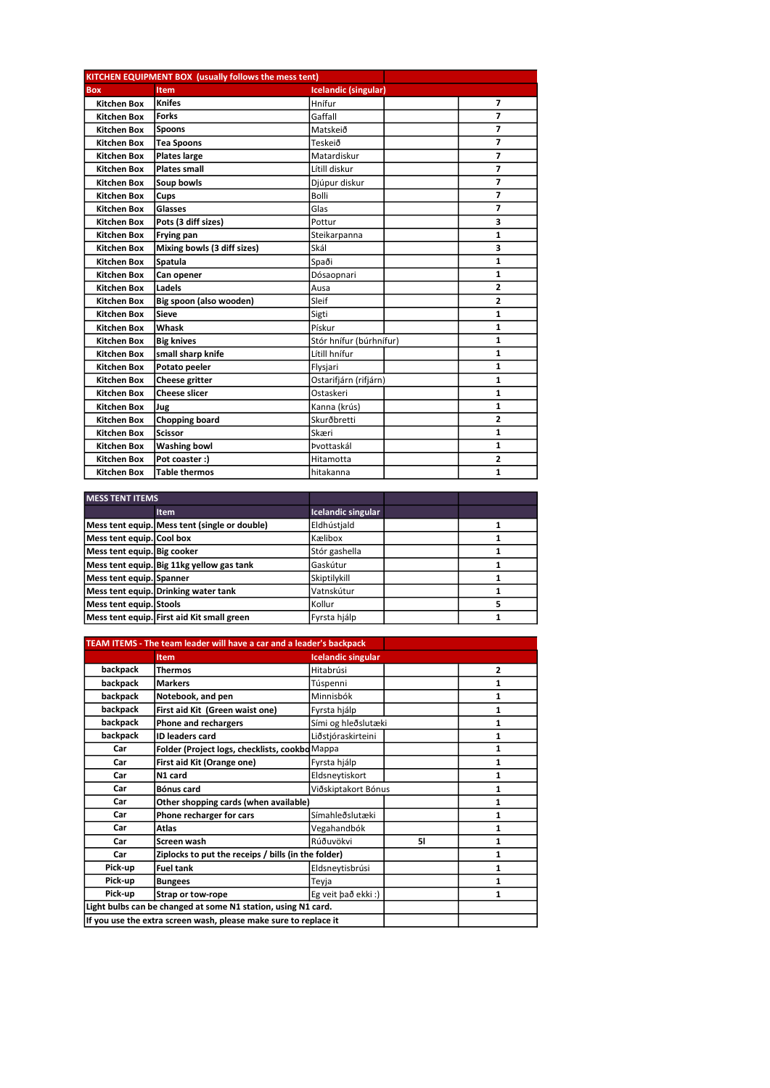| <b>KITCHEN EQUIPMENT BOX (usually follows the mess tent)</b> |                             |                             |                |
|--------------------------------------------------------------|-----------------------------|-----------------------------|----------------|
| <b>Box</b>                                                   | Item                        | <b>Icelandic (singular)</b> |                |
| <b>Kitchen Box</b>                                           | <b>Knifes</b>               | Hnífur                      | 7              |
| <b>Kitchen Box</b>                                           | <b>Forks</b>                | Gaffall                     | $\overline{7}$ |
| <b>Kitchen Box</b>                                           | <b>Spoons</b>               | Matskeið                    | $\overline{7}$ |
| <b>Kitchen Box</b>                                           | <b>Tea Spoons</b>           | Teskeið                     | 7              |
| Kitchen Box                                                  | <b>Plates large</b>         | Matardiskur                 | 7              |
| <b>Kitchen Box</b>                                           | <b>Plates small</b>         | Lítill diskur               | $\overline{7}$ |
| <b>Kitchen Box</b>                                           | Soup bowls                  | Djúpur diskur               | $\overline{7}$ |
| Kitchen Box                                                  | Cups                        | <b>Bolli</b>                | $\overline{7}$ |
| <b>Kitchen Box</b>                                           | Glasses                     | Glas                        | 7              |
| <b>Kitchen Box</b>                                           | Pots (3 diff sizes)         | Pottur                      | 3              |
| <b>Kitchen Box</b>                                           | Frying pan                  | Steikarpanna                | $\mathbf{1}$   |
| <b>Kitchen Box</b>                                           | Mixing bowls (3 diff sizes) | Skál                        | 3              |
| <b>Kitchen Box</b>                                           | Spatula                     | Spaði                       | $\mathbf{1}$   |
| <b>Kitchen Box</b>                                           | Can opener                  | Dósaopnari                  | $\mathbf{1}$   |
| Kitchen Box                                                  | Ladels                      | Ausa                        | $\overline{2}$ |
| <b>Kitchen Box</b>                                           | Big spoon (also wooden)     | Sleif                       | $\overline{2}$ |
| <b>Kitchen Box</b>                                           | <b>Sieve</b>                | Sigti                       | $\mathbf{1}$   |
| <b>Kitchen Box</b>                                           | Whask                       | Pískur                      | 1              |
| <b>Kitchen Box</b>                                           | <b>Big knives</b>           | Stór hnífur (búrhnífur)     | $\mathbf{1}$   |
| <b>Kitchen Box</b>                                           | small sharp knife           | Lítill hnífur               | $\mathbf{1}$   |
| <b>Kitchen Box</b>                                           | Potato peeler               | Flysjari                    | $\mathbf{1}$   |
| <b>Kitchen Box</b>                                           | Cheese gritter              | Ostarifjárn (rifjárn)       | $\mathbf{1}$   |
| <b>Kitchen Box</b>                                           | <b>Cheese slicer</b>        | Ostaskeri                   | 1              |
| <b>Kitchen Box</b>                                           | Jug                         | Kanna (krús)                | 1              |
| <b>Kitchen Box</b>                                           | <b>Chopping board</b>       | Skurðbretti                 | $\overline{2}$ |
| <b>Kitchen Box</b>                                           | <b>Scissor</b>              | Skæri                       | $\mathbf{1}$   |
| <b>Kitchen Box</b>                                           | <b>Washing bowl</b>         | Þvottaskál                  | 1              |
| <b>Kitchen Box</b>                                           | Pot coaster :)              | Hitamotta                   | $\overline{2}$ |
| <b>Kitchen Box</b>                                           | <b>Table thermos</b>        | hitakanna                   | 1              |

| <b>MESS TENT ITEMS</b>      |                                               |                    |  |
|-----------------------------|-----------------------------------------------|--------------------|--|
|                             | <b>Item</b>                                   | Icelandic singular |  |
|                             | Mess tent equip. Mess tent (single or double) | Eldhústiald        |  |
| Mess tent equip. Cool box   |                                               | lKælibox           |  |
| Mess tent equip. Big cooker |                                               | Stór gashella      |  |
|                             | Mess tent equip. Big 11kg yellow gas tank     | Gaskútur           |  |
| Mess tent equip. Spanner    |                                               | Skiptilykill       |  |
|                             | Mess tent equip. Drinking water tank          | Vatnskútur         |  |
| Mess tent equip. Stools     |                                               | l Kollur           |  |
|                             | Mess tent equip. First aid Kit small green    | Fyrsta hjálp       |  |

| TEAM ITEMS - The team leader will have a car and a leader's backpack |                                                                  |                           |    |                |
|----------------------------------------------------------------------|------------------------------------------------------------------|---------------------------|----|----------------|
|                                                                      | <b>Item</b>                                                      | <b>Icelandic singular</b> |    |                |
| backpack                                                             | <b>Thermos</b>                                                   | Hitabrúsi                 |    | $\overline{2}$ |
| backpack                                                             | <b>Markers</b>                                                   | Túspenni                  |    | 1              |
| backpack                                                             | Notebook, and pen                                                | Minnisbók                 |    | 1              |
| backpack                                                             | First aid Kit (Green waist one)                                  | Fyrsta hjálp              |    | 1              |
| backpack                                                             | Phone and rechargers                                             | Sími og hleðslutæki       |    | 1              |
| backpack                                                             | <b>ID leaders card</b>                                           | Liðstjóraskirteini        |    | 1              |
| Car                                                                  | Folder (Project logs, checklists, cookbo Mappa                   |                           |    | 1              |
| Car                                                                  | First aid Kit (Orange one)                                       | Fyrsta hjálp              |    | 1              |
| Car                                                                  | N1 card                                                          | Eldsneytiskort            |    | 1              |
| Car                                                                  | Bónus card                                                       | Viðskiptakort Bónus       |    | 1              |
| Car                                                                  | Other shopping cards (when available)                            |                           |    | 1              |
| Car                                                                  | Phone recharger for cars                                         | Símahleðslutæki           |    | 1              |
| Car                                                                  | <b>Atlas</b>                                                     | Vegahandbók               |    | 1              |
| Car                                                                  | Screen wash                                                      | Rúðuvökvi                 | 51 | 1              |
| Car                                                                  | Ziplocks to put the receips / bills (in the folder)              |                           |    | 1              |
| Pick-up                                                              | <b>Fuel tank</b>                                                 | Eldsneytisbrúsi           |    | 1              |
| Pick-up                                                              | <b>Bungees</b>                                                   | Teyja                     |    | 1              |
| Pick-up                                                              | Strap or tow-rope                                                | Eg veit bað ekki:)        |    | 1              |
| Light bulbs can be changed at some N1 station, using N1 card.        |                                                                  |                           |    |                |
|                                                                      | If you use the extra screen wash, please make sure to replace it |                           |    |                |